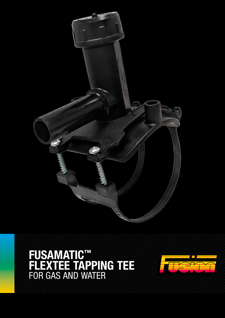

FUSAMATIC™ FLEXTEE TAPPING TEE FOR GAS AND WATER

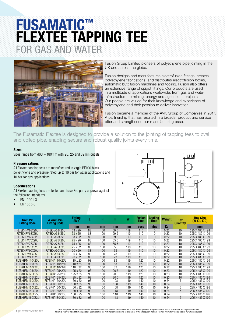## FUSAMATIC™ FLEXTEE TAPPING TEE FOR GAS AND WATER

![](_page_1_Picture_1.jpeg)

Fusion Group Limited pioneers of polyethylene pipe jointing in the UK and across the globe.

Fusion designs and manufactures electrofusion fittings, creates polyethylene fabrications, and distributes electrofusion boxes, automatic butt fusion machines and tooling. Fusion also offers an extensive range of spigot fittings. Our products are used in a multitude of applications worldwide, from gas and water infrastructure, to mining, energy and agricultural projects. Our people are valued for their knowledge and experience of polyethylene and their passion to deliver innovation.

Fusion became a member of the AVK Group of Companies in 2017. A partnership that has resulted in a broader product and service offer and strengthened our manufacturing base.

The Fusamatic Flextee is designed to provide a solution to the jointing of tapping tees to oval and coiled pipe, enabling secure and robust quality joints every time.

#### Sizes

Sizes range from d63 – 180mm with 20, 25 and 32mm outlets.

#### Pressure ratings

All Flextee tapping tees are manufactured in virgin PE100 black polyethylene and pressure rated up to 16 bar for water applications and 10 bar for gas applications.

#### Specifications

All Flextee tapping tees are tested and have 3rd party approval against the following standards;

- EN 12201-3
- EN 1555-3

![](_page_1_Figure_14.jpeg)

| <b>4mm Pin</b>      | 4.7mm Pin           | <b>Fitting</b><br><b>Size</b> |    | н   | h    | W   | <b>Fusion</b><br>Time | <b>Cooling</b><br>Time | <b>Weight</b> | <b>Box</b>      | <b>Box Size</b><br>(W X L X D) |
|---------------------|---------------------|-------------------------------|----|-----|------|-----|-----------------------|------------------------|---------------|-----------------|--------------------------------|
| <b>Fitting Code</b> | <b>Fitting Code</b> | mm                            | mm | mm  | mm   | mm  | secs                  | mins                   | Kg            | <b>Quantity</b> | mm                             |
| FLTBKHFM63X20U      | FLTBKHA63X20U       | 63 x 20                       | 83 | 100 | 59.5 | 119 | 110                   | 10                     | 0.22          | 10              | 295 X 485 X 199                |
| FLTBKHFM63X25U      | FLTBKHA63X25U       | 63 x 25                       | 83 | 100 | 59.5 | 119 | 110                   | 10                     | 0.22          | 10              | 295 X 485 X 199                |
| FLTBKHFM63X32U      | FLTBKHA63X32U       | 63 x 32                       | 83 | 100 | 59.5 | 119 | 110                   | 10                     | 0.22          | 10              | 295 X 485 X 199                |
| FLTBKHFM75X20U      | FLTBKHA75X20U       | 75 x 20                       | 83 | 100 | 65.5 | 119 | 110                   | 10                     | 0.22          | 10              | 295 X 485 X 199                |
| FLTBKHFM75X25U      | FLTBKHA75X25U       | 75 x 25                       | 83 | 100 | 65.5 | 119 | 110                   | 10                     | 0.22          | 10              | 295 X 485 X 199                |
| FLTBKHFM75X32U      | FLTBKHA75X32U       | 75 x 32                       | 83 | 100 | 65.5 | 119 | 110                   | 10                     | 0.22          | 10              | 295 X 485 X 199                |
| FLTBKHFM90X20U      | FLTBKHA90X20U       | $90 \times 20$                | 83 | 100 | 73   | 119 | 110                   | 10                     | 0.22          | 10              | 295 X 485 X 199                |
| FLTBKHFM90X25U      | FLTBKHA90X25U       | $90 \times 25$                | 83 | 100 | 73   | 119 | 110                   | 10                     | 0.22          | 10              | 295 X 485 X 199                |
| FLTBKHFM90X32U      | FLTBKHA90X32U       | $90 \times 32$                | 83 | 100 | 73   | 119 | 110                   | 10                     | 0.22          | 10              | 295 X 485 X 199                |
| FLTBKHFM110X20U     | FLTBKHA110X20U      | $110 \times 20$               | 93 | 100 | 83   | 119 | 120                   | 10                     | 0.22          | 10              | 295 X 485 X 199                |
| FLTBKHFM110X25U     | FLTBKHA110X25U      | $110 \times 25$               | 93 | 100 | 83   | 119 | 120                   | 10                     | 0.22          | 10              | 295 X 485 X 199                |
| FLTBKHFM110X32U     | FLTBKHA110X32U      | $110 \times 32$               | 93 | 100 | 83   | 119 | 120                   | 10                     | 0.22          | 10              | 295 X 485 X 199                |
| FLTBKHFM125X20U     | FLTBKHA125X20U      | 125 x 20                      | 93 | 100 | 90.5 | 119 | 120                   | 10                     | 0.23          | 10              | 295 X 485 X 199                |
| FLTBKHFM125X25U     | FLTBKHA125X25U      | 125 x 25                      | 93 | 100 | 90.5 | 119 | 120                   | 10                     | 0.23          | 10              | 295 X 485 X 199                |
| FLTBKHFM125X32U     | FLTBKHA125X32U      | 125 x 32                      | 93 | 100 | 90.5 | 119 | 120                   | 10                     | 0.23          | 10              | 295 X 485 X 199                |
| FLTBKHFM160X20U     | FLTBKHA160X20U      | 160 x 20                      | 93 | 100 | 108  | 119 | 140                   | 10                     | 0.24          | 5               | 295 X 485 X 199                |
| FLTBKHFM160X25U     | FLTBKHA160X25U      | 160 x 25                      | 93 | 100 | 108  | 119 | 140                   | 10                     | 0.24          | 5               | 295 X 485 X 199                |
| FLTBKHFM160X32U     | FLTBKHA160X32U      | 160 x 32                      | 93 | 100 | 108  | 119 | 140                   | 10                     | 0.24          | 5               | 295 X 485 X 199                |
| FLTBKHFM180X20U     | FLTBKHA180X20U      | 180 x 20                      | 93 | 100 | 118  | 119 | 140                   | 10                     | 0.24          | 5               | 295 X 485 X 199                |
| FLTBKHFM180X25U     | FLTBKHA180X25U      | 180 x 25                      | 93 | 100 | 118  | 119 | 140                   | 10                     | 0.24          | 5               | 295 X 485 X 199                |
| FLTBKHFM180X32U     | FLTBKHA180X32U      | 180 x 32                      | 93 | 100 | 118  | 119 | 140                   | 10                     | 0.24          | 5               | 295 X 485 X 199                |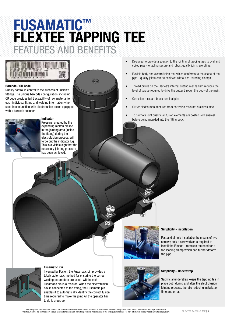## FUSAMATIC™ FLEXTEE TAPPING TEE FEATURES AND BENEFITS

![](_page_2_Picture_1.jpeg)

#### Barcode / QR Code

Quality control is central to the success of Fusion's fittings. The unique barcode configuration, including QR code provides full traceability of raw material for each individual fitting and welding information when used in conjunction with electrofusion boxes equipped with a barcode scanner.

![](_page_2_Picture_4.jpeg)

#### Indicator

Pressure, created by the expanding molten plastic in the jointing area (inside the fitting) during the electrofusion process, will force out the indicator lug. This is a visible sign that the necessary jointing pressure has been achieved.

- Designed to provide a solution to the jointing of tapping tees to oval and coiled pipe - enabling secure and robust quality joints everytime.
- Flexible body and electrofusion mat which conforms to the shape of the pipe - quality joints can be achieved without re-rounding clamps.
- Thread profile on the Flextee's internal cutting mechanism reduces the level of torque required to drive the cutter through the body of the main.
- Corrosion resistant brass terminal pins.
- Cutter blades manufactured from corrosion resistant stainless steel.
- To promote joint quality, all fusion elements are coated with enamel before being moulded into the fitting body.

### Simplicity - Installation

Fast and simple installation by means of two screws; only a screwdriver is required to install the Flextee - removes the need for a top loading clamp which can further deform the pipe.

Invented by Fusion, the Fusamatic pin provides a totally automatic method for ensuring the correct welding parameters are used. Within each Fusamatic pin is a resistor. When the electrofusion box is connected to the fitting, the Fusamatic pin enables it to automatically identify the correct fusion time required to make the joint. All the operator has to do is press go!

Fusamatic Pin

![](_page_2_Picture_18.jpeg)

Sacrificial understrap keeps the tapping tee in place both during and after the electrofusion jointing process, thereby reducing installation time and error.

Note: Every effort has been made to ensure the information in this brochure is correct at the date of issue. Fusion operates a policy of continuous product improvement and range extension and,<br>3 | FLEXTEE TAPPING TEE FE T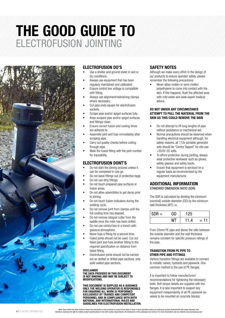# THE GOOD GUIDE TO ELECTROFUSION JOINTING

![](_page_3_Picture_1.jpeg)

#### ELECTROFUSION DO'S

- Use a shelter and ground sheet in wet or dry conditions.
- Always use equipment that has been regularly maintained and calibrated.
- Ensure control box voltage is compatible with fitting.
- Always use alignment/restraining clamps where necessary.
- Cut pipe ends square for electrofusion sockets.
- Scrape pipe and/or spigot surfaces fully.
- Keep scraped pipe and/or spigot surfaces and fittings clean.
- Ensure correct fusion and cooling times are adhered to.
- Assemble joint and fuse immediately after scraping pipe.
- Carry out quality checks before cutting through pipe.
- Mark the fused fitting with the joint number for traceability.

#### ELECTROFUSION DONT'S

- Do not start the joining process unless it can be completed in one go.
- Do not leave fittings out of protective bags.
- Do not use dirty fittings.
- Do not touch prepared pipe surfaces or fusion areas.
- Do not allow assemblies to get damp prior to joining.
- Do not touch fusion indicators during the welding cycle.
- Do not remove joint from clamps until the full cooling time has elapsed.
- Do not remove integral cutter from the saddle once the main has been drilled.
- Do not use control box in a trench with gaseous atmosphere.
- Never fuse a fitting for a second time.
- Failed joints should not be used. Cut out failed joint and fuse another fitting to the required specification on distance from failed fitting.
- Electrofusion joints should not be carried out on slotted or drilled pipe sections, only solid walled pipe sections.

#### DISCI AIMER

#### THE DATA PROVIDED IN THIS DOCUMENT IS NOT BINDING AND MAY BE SUBJECT TO MODIFICATIONS.

THIS DOCUMENT IS SUPPLIED AS A GUIDANCE ONLY. THE WELDING OPERATOR IS RESPONSIBLE FOR ENSURING ALL WORK IS PERFORMED EXCLUSIVELY BY TRAINED AND COMPETENT PERSONNEL AND IN COMPLIANCE WITH BOTH NATIONAL AND INTERNATIONAL RULES AND GUIDELINES FOR ELECTROFUSION INSTALLATION.

### SAFETY NOTES

Although we make every effort in the design of our products to ensure operator safety, please remember the following precautions:

• Never allow molten or semi-molten polyethylene to come into contact with the skin. If this happens, flush the affected area with cold water and seek expert medical advice.

#### DO NOT UNDER ANY CIRCUMSTANCE ATTEMPT TO PULL THE MATERIAL FROM THE SKIN AS THIS COULD REMOVE THE SKIN

- Do not attempt to lift long lengths of pipe without assistance or mechanical aid.
- Normal precautions should be observed when handling electrical equipment although, for safety reasons, all 110v portable generator sets should be "Centre Tapped" for site use +55/0/-55 volts.
- To afford protection during jointing, always wear protective workwear such as gloves, safety glasses and safety boots.
- Ensure that equipment is serviced on a regular basis as recommended by the equipment manufacturer.

#### ADDITIONAL INFORMATION STANDARD DIMENSION RATIO (SDR)

The SDR is calculated by dividing the minimum (nominal) outside diameter (OD) by the minimum wall thickness (WT) i.e.

| $SDR =$ | חר | 25  |     |
|---------|----|-----|-----|
|         |    | 1.4 | $=$ |

From 25mm PE pipe and above the ratio between the outside diameter and the wall thickness remains constant for specific pressure ratings of the pipe.

#### TRANSITION FROM PE PIPE TO OTHER PIPE AND FITTINGS

Various transition fittings are available to connect to metallic valves, hydrants and pipework. One common method is the use of PE flanges.

It is important to follow manufacturers' recommendations for tightening the necessary bolts. Bolt torque details are supplied with the flanges. It is also important to support any equipment independently of all PE pipework (ie. valves to be mounted on concrete blocks).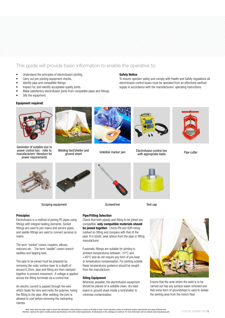### This guide will provide basic information to enable the operative to:

- Understand the principles of electrofusion jointing.
- Carry out pre-jointing equipment checks.
- Identify pipe and compatible fittings.
- Inspect for, and identify acceptable quality joints.
- Make satisfactory electrofusion joints from compatible pipes and fittings.
- Site the equipment.

#### Equipment required:

![](_page_4_Picture_8.jpeg)

Generator of suitable size to power control box - refer to manufacturers' literature for power requirements

![](_page_4_Picture_10.jpeg)

Welding tent/shelter and<br>ground sheet

![](_page_4_Picture_12.jpeg)

Safety Notice

Indelible marker pen

![](_page_4_Picture_14.jpeg)

To ensure operator safety and comply with Health and Safety regulations all electrofusion control boxes must be operated from an effectively earthed supply in accordance with the manufacturers' operating instructions.

Electrofusion control box ny tendshielter and and allegance marker pen the Lietublusion control box Pipe cutter<br>ground sheet example indelible marker pen with appropriate leads

Test cap

![](_page_4_Picture_16.jpeg)

![](_page_4_Picture_18.jpeg)

Scraping equipment

![](_page_4_Picture_20.jpeg)

**Screwdriver** 

![](_page_4_Picture_22.jpeg)

Electrofusion is a method of joining PE pipes using fittings with integral heating elements. Socket fittings are used to join mains and service pipes; and saddle fittings are used to connect services to mains.

The term "socket" covers couplers, elbows, reducers etc. The term "saddle" covers branch saddles and tapping tees.

The pipe to be joined must be prepared by removing the outer surface layer to a depth of around 0.2mm, pipe and fitting are then clamped together to prevent movement. A voltage is applied across the fitting terminals via a control box.

An electric current is passed through the wire which heats the wire and melts the polymer, fusing the fitting to the pipe. After welding, the joint is allowed to cool before removing the restraining clamps.

Pipe/Fitting Selection

Check that both pipe(s) and fitting to be joined are compatible, only compatible materials should be joined together. Check PN and SDR rating marked on fitting and compare with that of the pipe. If in doubt, seek advice from the pipe or fitting manufacturer.

Fusamatic fittings are suitable for jointing in ambient temperatures between -10°C and +40°C and do not require any form of pre-heat or temperature compensation. For jointing outside these temperatures guidance should be sought from the manufacturer.

#### Siting Equipment

Wherever possible, the electrofusion equipment should be placed on a suitable clean, dry base board or ground sheet inside a tent/shelter to minimise contamination.

![](_page_4_Picture_32.jpeg)

Ensure that the area where the weld is to be carried out has any surface water removed and that some form of groundsheet is used to isolate the jointing area from the trench floor.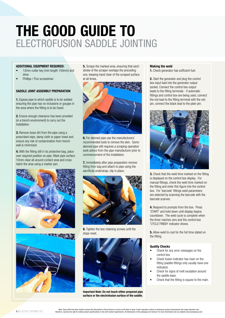# THE GOOD GUIDE TO ELECTROFUSION SADDLE JOINTING

#### ADDITIONAL EQUIPMENT REQUIRED:

- 12mm cutter key (min length 150mm) and drive
- Phillips / Pozi screwdriver

#### SADDLE JOINT ASSEMBLY PREPARATION

1. Expose pipe to which saddle is to be welded ensuring the pipe has no inclusions or gouges in the area where the fitting is to be fused.

2. Ensure enough clearance has been provided (in a trench environment) to carry out the installation.

**3.** Remove loose dirt from the pipe using a prescribed wipe, damp cloth or paper towel and ensure any risk of contamination from trench wall is minimized.

4. With the fitting still in its protective bag, place over required position on pipe. Mark pipe surface 10mm clear all around contact area and cross hatch the area using a marker pen.

![](_page_5_Picture_9.jpeg)

![](_page_5_Picture_10.jpeg)

**5.** Scrape the marked area, ensuring that each stroke of the scraper overlaps the preceding one, keeping hand clear of the scraped surface at all times.

![](_page_5_Picture_12.jpeg)

**6.** For skinned pipe use the manufacturers' recommended tools to remove the skin. Some skinned pipe still requires a scraping operation seek advice from the pipe manufacturer prior to commencement of the installation.

7. Immediately after pipe preparation remove fitting from bag and attach to pipe using the sacrificial understrap, clip in place.

![](_page_5_Picture_15.jpeg)

8. Tighten the two retaining screws until the stops meet.

![](_page_5_Picture_17.jpeg)

Important Note: Do not touch either prepared pipe surface or the electrofusion surface of the saddle.

#### Making the weld

1. Check generator has sufficient fuel.

2. Start the generator and plug the control box input lead into the generator output socket. Connect the control box output leads to the fitting terminals - if automatic fittings and control box are being used, connect the red lead to the fitting terminal with the red pin, connect the black lead to the plain pin.

![](_page_5_Picture_22.jpeg)

3. Check that the weld time marked on the fitting is displayed on the control box display. For manual fittings, check the weld time marked on the fitting and enter this figure into the control box. For 'barcode' fittings weld parameters are selected by scanning the barcode with the barcode scanner.

4. Respond to prompts from the box. Press 'START' and hold down until display begins countdown. The weld cycle is complete when the timer reaches zero and the control box 'CYCLE FINISH' indicator shows.

**5.** Allow weld to cool for the full time stated on the fitting.

#### Quality Checks

- Check for any error messages on the control box
- Check fusion indicator has risen on the fitting (saddle fittings only usually have one indicator).
- Check for signs of melt exudation around the saddle base.
- Check that the fitting is square to the main.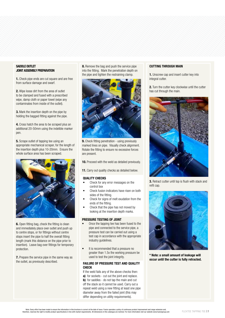#### SADDLE OUTLET JOINT ASSEMBLY PREPARATION

1. Check pipe ends are cut square and are free from surface damage and swarf.

2. Wipe loose dirt from the area of outlet to be clamped and fused with a prescribed wipe, damp cloth or paper towel (wipe any contaminates from inside of the outlet).

3. Mark the insertion depth on the pipe by holding the bagged fitting against the pipe.

4. Cross hatch the area to be scraped plus an additional 20-50mm using the indelible marker pen.

**5.** Scrape outlet of tapping tee using an appropriate mechanical scraper, for the length of the insertion depth plus 10-20mm. Ensure the whole surface area has been scraped.

![](_page_6_Picture_6.jpeg)

6. Open fitting bag, check the fitting is clean and immediately place over outlet and push up to centre stops, or for fittings without centre stops insert the pipe to half the overall fitting length (mark this distance on the pipe prior to insertion). Leave bag over fittings for temporary protection.

**7.** Prepare the service pipe in the same way as the outlet, as previously described.

8. Remove the bag and push the service pipe into the fitting. Mark the penetration depth on the pipe and tighten the restraining clamp.

![](_page_6_Picture_10.jpeg)

9. Check fitting penetration - using previously marked lines on pipe. Visually check alignment. Rotate the fitting to ensure no excessive forces are present.

10. Proceed with the weld as detailed previously.

11. Carry out quality checks as detailed below.

#### QUALITY CHECKS

- Check for any error messages on the control box
- Check fusion indicators have risen on both sides of the fitting.
- Check for signs of melt exudation from the ends of the fitting.
- Check that the pipe has not moved by looking at the insertion depth marks.

#### PRESSURE TESTING OF JOINT

- Once the tapping tee has been fused to the pipe and connected to the service pipe, a pressure test can be carried out using a test cap in accordance with the appropriate industry guidelines.
- It is recommended that a pressure no greater than 1.5x the working pressure be used to test the joint integrity.

#### FAILURE OF PRESSURE TEST AND QUALITY CHECK

If the weld fails any of the above checks then: a) for sockets - cut out the joint and replace. b) for saddles - do not tap the main and cut off the stack so it cannot be used. Carry out a repeat weld using a new fitting at least one pipe diameter away from the failed joint (this may differ depending on utility requirements).

#### CUTTING THROUGH MAIN

1. Unscrew cap and insert cutter key into integral cutter.

2. Turn the cutter key clockwise until the cutter has cut through the main.

![](_page_6_Picture_27.jpeg)

3. Retract cutter until top is flush with stack and refit cap.

![](_page_6_Picture_29.jpeg)

\* Note: a small amount of leakage will occur until the cutter is fully retracted.